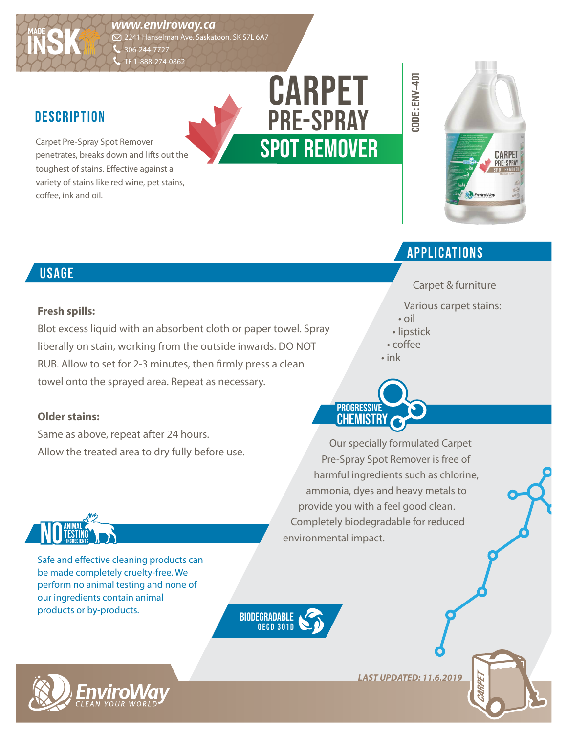

*www.enviroway.ca* 2241 Hanselman Ave. Saskatoon, SK S7L 6A7  $306 - 244 - 7727$ 

C TF 1-888-274-0862

### **DESCRIPTION**

Carpet Pre-Spray Spot Remover penetrates, breaks down and lifts out the toughest of stains. Effective against a variety of stains like red wine, pet stains, coffee, ink and oil.

# CDDE : ENV-401 **CODE : env-401**

Spot remover

pre-spray

**CARPET** 



### applications

Carpet & furniture

Various carpet stains:

- oil
- lipstick
- coffee
- ink

### **USAGE**

#### **Fresh spills:**

Blot excess liquid with an absorbent cloth or paper towel. Spray liberally on stain, working from the outside inwards. DO NOT RUB. Allow to set for 2-3 minutes, then firmly press a clean towel onto the sprayed area. Repeat as necessary.

#### **Older stains:**

Same as above, repeat after 24 hours. Allow the treated area to dry fully before use.



Our specially formulated Carpet Pre-Spray Spot Remover is free of harmful ingredients such as chlorine, ammonia, dyes and heavy metals to provide you with a feel good clean. Completely biodegradable for reduced environmental impact.



Safe and effective cleaning products can be made completely cruelty-free. We perform no animal testing and none of our ingredients contain animal products or by-products.





*LAST UPDATED: 11.6.2019*